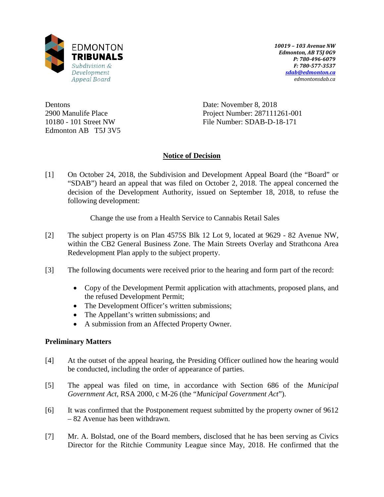

*10019 – 103 Avenue NW Edmonton, AB T5J 0G9 P: 780-496-6079 F: 780-577-3537 [sdab@edmonton.ca](mailto:sdab@edmonton.ca) edmontonsdab.ca*

Dentons 2900 Manulife Place 10180 - 101 Street NW Edmonton AB T5J 3V5 Date: November 8, 2018 Project Number: 287111261-001 File Number: SDAB-D-18-171

# **Notice of Decision**

[1] On October 24, 2018, the Subdivision and Development Appeal Board (the "Board" or "SDAB") heard an appeal that was filed on October 2, 2018. The appeal concerned the decision of the Development Authority, issued on September 18, 2018, to refuse the following development:

Change the use from a Health Service to Cannabis Retail Sales

- [2] The subject property is on Plan 4575S Blk 12 Lot 9, located at 9629 82 Avenue NW, within the CB2 General Business Zone. The Main Streets Overlay and Strathcona Area Redevelopment Plan apply to the subject property.
- [3] The following documents were received prior to the hearing and form part of the record:
	- Copy of the Development Permit application with attachments, proposed plans, and the refused Development Permit;
	- The Development Officer's written submissions;
	- The Appellant's written submissions; and
	- A submission from an Affected Property Owner.

## **Preliminary Matters**

- [4] At the outset of the appeal hearing, the Presiding Officer outlined how the hearing would be conducted, including the order of appearance of parties.
- [5] The appeal was filed on time, in accordance with Section 686 of the *Municipal Government Act*, RSA 2000, c M-26 (the "*Municipal Government Act*").
- [6] It was confirmed that the Postponement request submitted by the property owner of 9612 – 82 Avenue has been withdrawn.
- [7] Mr. A. Bolstad, one of the Board members, disclosed that he has been serving as Civics Director for the Ritchie Community League since May, 2018. He confirmed that the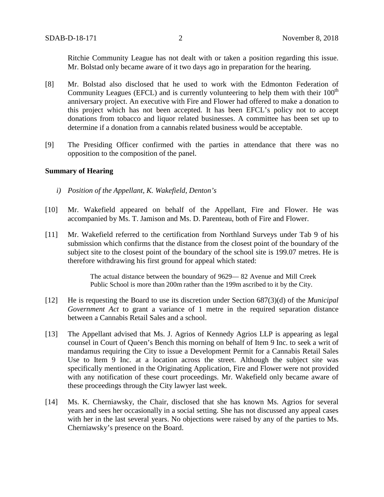Ritchie Community League has not dealt with or taken a position regarding this issue. Mr. Bolstad only became aware of it two days ago in preparation for the hearing.

- [8] Mr. Bolstad also disclosed that he used to work with the Edmonton Federation of Community Leagues (EFCL) and is currently volunteering to help them with their  $100<sup>th</sup>$ anniversary project. An executive with Fire and Flower had offered to make a donation to this project which has not been accepted. It has been EFCL's policy not to accept donations from tobacco and liquor related businesses. A committee has been set up to determine if a donation from a cannabis related business would be acceptable.
- [9] The Presiding Officer confirmed with the parties in attendance that there was no opposition to the composition of the panel.

### **Summary of Hearing**

- *i) Position of the Appellant, K. Wakefield, Denton's*
- [10] Mr. Wakefield appeared on behalf of the Appellant, Fire and Flower. He was accompanied by Ms. T. Jamison and Ms. D. Parenteau, both of Fire and Flower.
- [11] Mr. Wakefield referred to the certification from Northland Surveys under Tab 9 of his submission which confirms that the distance from the closest point of the boundary of the subject site to the closest point of the boundary of the school site is 199.07 metres. He is therefore withdrawing his first ground for appeal which stated:

The actual distance between the boundary of 9629— 82 Avenue and Mill Creek Public School is more than 200m rather than the 199m ascribed to it by the City.

- [12] He is requesting the Board to use its discretion under Section 687(3)(d) of the *Municipal Government Act* to grant a variance of 1 metre in the required separation distance between a Cannabis Retail Sales and a school.
- [13] The Appellant advised that Ms. J. Agrios of Kennedy Agrios LLP is appearing as legal counsel in Court of Queen's Bench this morning on behalf of Item 9 Inc. to seek a writ of mandamus requiring the City to issue a Development Permit for a Cannabis Retail Sales Use to Item 9 Inc. at a location across the street. Although the subject site was specifically mentioned in the Originating Application, Fire and Flower were not provided with any notification of these court proceedings. Mr. Wakefield only became aware of these proceedings through the City lawyer last week.
- [14] Ms. K. Cherniawsky, the Chair, disclosed that she has known Ms. Agrios for several years and sees her occasionally in a social setting. She has not discussed any appeal cases with her in the last several years. No objections were raised by any of the parties to Ms. Cherniawsky's presence on the Board.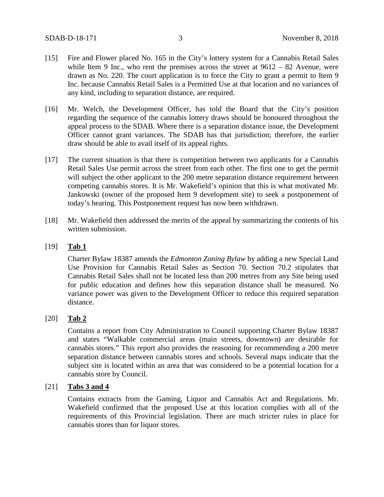- [15] Fire and Flower placed No. 165 in the City's lottery system for a Cannabis Retail Sales while Item 9 Inc., who rent the premises across the street at  $9612 - 82$  Avenue, were drawn as No. 220. The court application is to force the City to grant a permit to Item 9 Inc. because Cannabis Retail Sales is a Permitted Use at that location and no variances of any kind, including to separation distance, are required.
- [16] Mr. Welch, the Development Officer, has told the Board that the City's position regarding the sequence of the cannabis lottery draws should be honoured throughout the appeal process to the SDAB. Where there is a separation distance issue, the Development Officer cannot grant variances. The SDAB has that jurisdiction; therefore, the earlier draw should be able to avail itself of its appeal rights.
- [17] The current situation is that there is competition between two applicants for a Cannabis Retail Sales Use permit across the street from each other. The first one to get the permit will subject the other applicant to the 200 metre separation distance requirement between competing cannabis stores. It is Mr. Wakefield's opinion that this is what motivated Mr. Jankowski (owner of the proposed Item 9 development site) to seek a postponement of today's hearing. This Postponement request has now been withdrawn.
- [18] Mr. Wakefield then addressed the merits of the appeal by summarizing the contents of his written submission.

### [19] **Tab 1**

Charter Bylaw 18387 amends the *Edmonton Zoning Bylaw* by adding a new Special Land Use Provision for Cannabis Retail Sales as Section 70. Section 70.2 stipulates that Cannabis Retail Sales shall not be located less than 200 metres from any Site being used for public education and defines how this separation distance shall be measured. No variance power was given to the Development Officer to reduce this required separation distance.

## [20] **Tab 2**

Contains a report from City Administration to Council supporting Charter Bylaw 18387 and states "Walkable commercial areas (main streets, downtown) are desirable for cannabis stores." This report also provides the reasoning for recommending a 200 metre separation distance between cannabis stores and schools. Several maps indicate that the subject site is located within an area that was considered to be a potential location for a cannabis store by Council.

## [21] **Tabs 3 and 4**

Contains extracts from the Gaming, Liquor and Cannabis Act and Regulations. Mr. Wakefield confirmed that the proposed Use at this location complies with all of the requirements of this Provincial legislation. There are much stricter rules in place for cannabis stores than for liquor stores.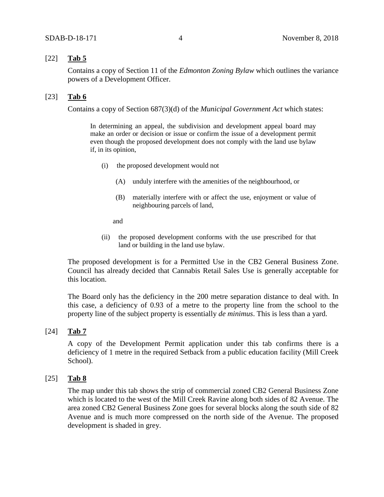## [22] **Tab 5**

Contains a copy of Section 11 of the *Edmonton Zoning Bylaw* which outlines the variance powers of a Development Officer.

## [23] **Tab 6**

Contains a copy of Section 687(3)(d) of the *Municipal Government Act* which states:

In determining an appeal, the subdivision and development appeal board may make an order or decision or issue or confirm the issue of a development permit even though the proposed development does not comply with the land use bylaw if, in its opinion,

- (i) the proposed development would not
	- (A) unduly interfere with the amenities of the neighbourhood, or
	- (B) materially interfere with or affect the use, enjoyment or value of neighbouring parcels of land,

and

(ii) the proposed development conforms with the use prescribed for that land or building in the land use bylaw.

The proposed development is for a Permitted Use in the CB2 General Business Zone. Council has already decided that Cannabis Retail Sales Use is generally acceptable for this location.

The Board only has the deficiency in the 200 metre separation distance to deal with. In this case, a deficiency of 0.93 of a metre to the property line from the school to the property line of the subject property is essentially *de minimus*. This is less than a yard.

### [24] **Tab 7**

A copy of the Development Permit application under this tab confirms there is a deficiency of 1 metre in the required Setback from a public education facility (Mill Creek School).

## [25] **Tab 8**

The map under this tab shows the strip of commercial zoned CB2 General Business Zone which is located to the west of the Mill Creek Ravine along both sides of 82 Avenue. The area zoned CB2 General Business Zone goes for several blocks along the south side of 82 Avenue and is much more compressed on the north side of the Avenue. The proposed development is shaded in grey.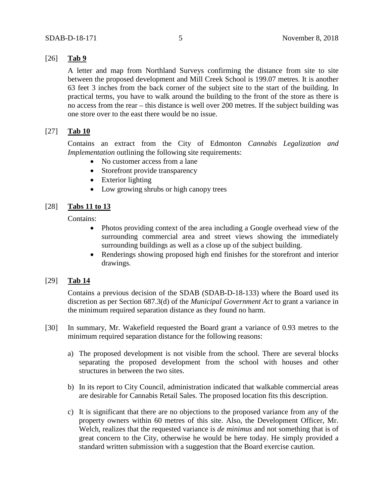## [26] **Tab 9**

A letter and map from Northland Surveys confirming the distance from site to site between the proposed development and Mill Creek School is 199.07 metres. It is another 63 feet 3 inches from the back corner of the subject site to the start of the building. In practical terms, you have to walk around the building to the front of the store as there is no access from the rear – this distance is well over 200 metres. If the subject building was one store over to the east there would be no issue.

## [27] **Tab 10**

Contains an extract from the City of Edmonton *Cannabis Legalization and Implementation* outlining the following site requirements:

- No customer access from a lane
- Storefront provide transparency
- Exterior lighting
- Low growing shrubs or high canopy trees

### [28] **Tabs 11 to 13**

Contains:

- Photos providing context of the area including a Google overhead view of the surrounding commercial area and street views showing the immediately surrounding buildings as well as a close up of the subject building.
- Renderings showing proposed high end finishes for the storefront and interior drawings.

## [29] **Tab 14**

Contains a previous decision of the SDAB (SDAB-D-18-133) where the Board used its discretion as per Section 687.3(d) of the *Municipal Government Act* to grant a variance in the minimum required separation distance as they found no harm.

- [30] In summary, Mr. Wakefield requested the Board grant a variance of 0.93 metres to the minimum required separation distance for the following reasons:
	- a) The proposed development is not visible from the school. There are several blocks separating the proposed development from the school with houses and other structures in between the two sites.
	- b) In its report to City Council, administration indicated that walkable commercial areas are desirable for Cannabis Retail Sales. The proposed location fits this description.
	- c) It is significant that there are no objections to the proposed variance from any of the property owners within 60 metres of this site. Also, the Development Officer, Mr. Welch, realizes that the requested variance is *de minimus* and not something that is of great concern to the City, otherwise he would be here today. He simply provided a standard written submission with a suggestion that the Board exercise caution.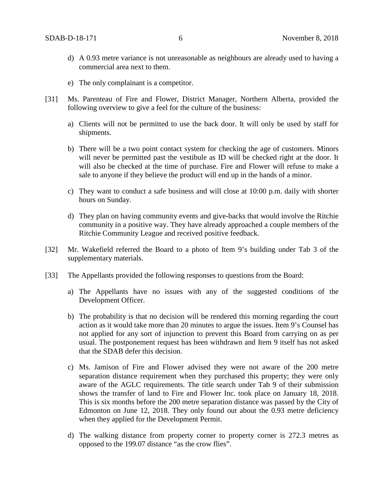- d) A 0.93 metre variance is not unreasonable as neighbours are already used to having a commercial area next to them.
- e) The only complainant is a competitor.
- [31] Ms. Parenteau of Fire and Flower, District Manager, Northern Alberta, provided the following overview to give a feel for the culture of the business:
	- a) Clients will not be permitted to use the back door. It will only be used by staff for shipments.
	- b) There will be a two point contact system for checking the age of customers. Minors will never be permitted past the vestibule as ID will be checked right at the door. It will also be checked at the time of purchase. Fire and Flower will refuse to make a sale to anyone if they believe the product will end up in the hands of a minor.
	- c) They want to conduct a safe business and will close at 10:00 p.m. daily with shorter hours on Sunday.
	- d) They plan on having community events and give-backs that would involve the Ritchie community in a positive way. They have already approached a couple members of the Ritchie Community League and received positive feedback.
- [32] Mr. Wakefield referred the Board to a photo of Item 9's building under Tab 3 of the supplementary materials.
- [33] The Appellants provided the following responses to questions from the Board:
	- a) The Appellants have no issues with any of the suggested conditions of the Development Officer.
	- b) The probability is that no decision will be rendered this morning regarding the court action as it would take more than 20 minutes to argue the issues. Item 9's Counsel has not applied for any sort of injunction to prevent this Board from carrying on as per usual. The postponement request has been withdrawn and Item 9 itself has not asked that the SDAB defer this decision.
	- c) Ms. Jamison of Fire and Flower advised they were not aware of the 200 metre separation distance requirement when they purchased this property; they were only aware of the AGLC requirements. The title search under Tab 9 of their submission shows the transfer of land to Fire and Flower Inc. took place on January 18, 2018. This is six months before the 200 metre separation distance was passed by the City of Edmonton on June 12, 2018. They only found out about the 0.93 metre deficiency when they applied for the Development Permit.
	- d) The walking distance from property corner to property corner is 272.3 metres as opposed to the 199.07 distance "as the crow flies".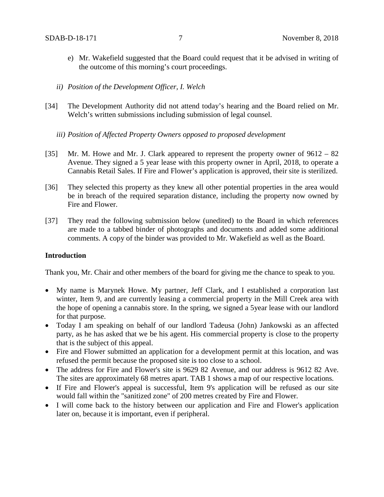- e) Mr. Wakefield suggested that the Board could request that it be advised in writing of the outcome of this morning's court proceedings.
- *ii) Position of the Development Officer, I. Welch*
- [34] The Development Authority did not attend today's hearing and the Board relied on Mr. Welch's written submissions including submission of legal counsel.
	- *iii) Position of Affected Property Owners opposed to proposed development*
- [35] Mr. M. Howe and Mr. J. Clark appeared to represent the property owner of 9612 82 Avenue. They signed a 5 year lease with this property owner in April, 2018, to operate a Cannabis Retail Sales. If Fire and Flower's application is approved, their site is sterilized.
- [36] They selected this property as they knew all other potential properties in the area would be in breach of the required separation distance, including the property now owned by Fire and Flower.
- [37] They read the following submission below (unedited) to the Board in which references are made to a tabbed binder of photographs and documents and added some additional comments. A copy of the binder was provided to Mr. Wakefield as well as the Board.

### **Introduction**

Thank you, Mr. Chair and other members of the board for giving me the chance to speak to you.

- My name is Marynek Howe. My partner, Jeff Clark, and I established a corporation last winter, Item 9, and are currently leasing a commercial property in the Mill Creek area with the hope of opening a cannabis store. In the spring, we signed a 5year lease with our landlord for that purpose.
- Today I am speaking on behalf of our landlord Tadeusa (John) Jankowski as an affected party, as he has asked that we be his agent. His commercial property is close to the property that is the subject of this appeal.
- Fire and Flower submitted an application for a development permit at this location, and was refused the permit because the proposed site is too close to a school.
- The address for Fire and Flower's site is 9629 82 Avenue, and our address is 9612 82 Ave. The sites are approximately 68 metres apart. TAB 1 shows a map of our respective locations.
- If Fire and Flower's appeal is successful, Item 9's application will be refused as our site would fall within the "sanitized zone" of 200 metres created by Fire and Flower.
- I will come back to the history between our application and Fire and Flower's application later on, because it is important, even if peripheral.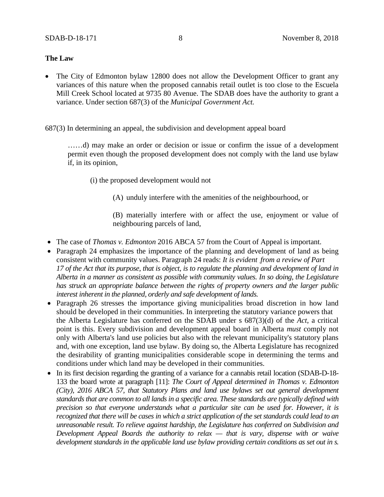### **The Law**

- The City of Edmonton bylaw 12800 does not allow the Development Officer to grant any variances of this nature when the proposed cannabis retail outlet is too close to the Escuela Mill Creek School located at 9735 80 Avenue. The SDAB does have the authority to grant a variance. Under section 687(3) of the *Municipal Government Act.*
- 687(3) In determining an appeal, the subdivision and development appeal board

……d) may make an order or decision or issue or confirm the issue of a development permit even though the proposed development does not comply with the land use bylaw if, in its opinion,

(i) the proposed development would not

(A) unduly interfere with the amenities of the neighbourhood, or

(B) materially interfere with or affect the use, enjoyment or value of neighbouring parcels of land,

- The case of *Thomas v. Edmonton* 2016 ABCA 57 from the Court of Appeal is important.
- Paragraph 24 emphasizes the importance of the planning and development of land as being consistent with community values. Paragraph 24 reads: *It is evident from a review of Part 17 of the Act that its purpose, that is object, is to regulate the planning and development of land in Alberta in a manner as consistent as possible with community values. In so doing, the Legislature has struck an appropriate balance between the rights of property owners and the larger public interest inherent in the planned, orderly and safe development of lands.*
- Paragraph 26 stresses the importance giving municipalities broad discretion in how land should be developed in their communities. In interpreting the statutory variance powers that the Alberta Legislature has conferred on the SDAB under s 687(3)(d) of the *Act*, a critical point is this. Every subdivision and development appeal board in Alberta *must* comply not only with Alberta's land use policies but also with the relevant municipality's statutory plans and, with one exception, land use bylaw. By doing so, the Alberta Legislature has recognized the desirability of granting municipalities considerable scope in determining the terms and conditions under which land may be developed in their communities.
- In its first decision regarding the granting of a variance for a cannabis retail location (SDAB-D-18- 133 the board wrote at paragraph [11]: *The Court of Appeal determined in Thomas v. Edmonton (City), 2016 ABCA 57, that Statutory Plans and land use bylaws set out general development standards that are common to all lands in a specific area. These standards are typically defined with precision so that everyone understands what a particular site can be used for. However, it is recognized that there will be cases in which a strict application of the set standards could lead to an unreasonable result. To relieve against hardship, the Legislature has conferred on Subdivision and Development Appeal Boards the authority to relax — that is vary, dispense with or waive development standards in the applicable land use bylaw providing certain conditions as set out in s.*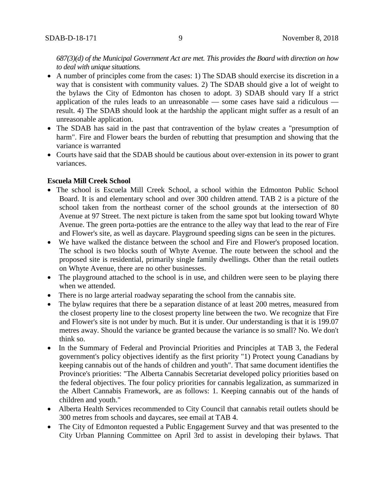*687(3)(d) of the Municipal Government Act are met. This provides the Board with direction on how to deal with unique situations.*

- A number of principles come from the cases: 1) The SDAB should exercise its discretion in a way that is consistent with community values. 2) The SDAB should give a lot of weight to the bylaws the City of Edmonton has chosen to adopt. 3) SDAB should vary If a strict application of the rules leads to an unreasonable — some cases have said a ridiculous result. 4) The SDAB should look at the hardship the applicant might suffer as a result of an unreasonable application.
- The SDAB has said in the past that contravention of the bylaw creates a "presumption of harm". Fire and Flower bears the burden of rebutting that presumption and showing that the variance is warranted
- Courts have said that the SDAB should be cautious about over-extension in its power to grant variances.

## **Escuela Mill Creek School**

- The school is Escuela Mill Creek School, a school within the Edmonton Public School Board. It is and elementary school and over 300 children attend. TAB 2 is a picture of the school taken from the northeast corner of the school grounds at the intersection of 80 Avenue at 97 Street. The next picture is taken from the same spot but looking toward Whyte Avenue. The green porta-potties are the entrance to the alley way that lead to the rear of Fire and Flower's site, as well as daycare. Playground speeding signs can be seen in the pictures.
- We have walked the distance between the school and Fire and Flower's proposed location. The school is two blocks south of Whyte Avenue. The route between the school and the proposed site is residential, primarily single family dwellings. Other than the retail outlets on Whyte Avenue, there are no other businesses.
- The playground attached to the school is in use, and children were seen to be playing there when we attended.
- There is no large arterial roadway separating the school from the cannabis site.
- The bylaw requires that there be a separation distance of at least 200 metres, measured from the closest property line to the closest property line between the two. We recognize that Fire and Flower's site is not under by much. But it is under. Our understanding is that it is 199.07 metres away. Should the variance be granted because the variance is so small? No. We don't think so.
- In the Summary of Federal and Provincial Priorities and Principles at TAB 3, the Federal government's policy objectives identify as the first priority "1) Protect young Canadians by keeping cannabis out of the hands of children and youth". That same document identifies the Province's priorities: "The Alberta Cannabis Secretariat developed policy priorities based on the federal objectives. The four policy priorities for cannabis legalization, as summarized in the Albert Cannabis Framework, are as follows: 1. Keeping cannabis out of the hands of children and youth."
- Alberta Health Services recommended to City Council that cannabis retail outlets should be 300 metres from schools and daycares, see email at TAB 4.
- The City of Edmonton requested a Public Engagement Survey and that was presented to the City Urban Planning Committee on April 3rd to assist in developing their bylaws. That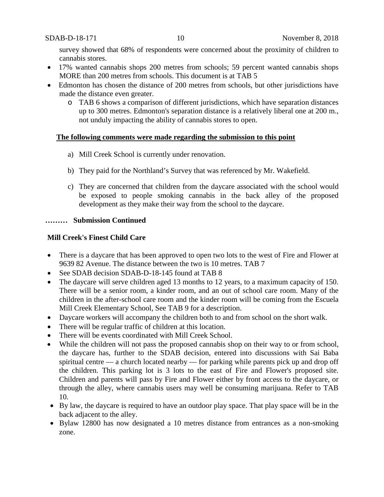survey showed that 68% of respondents were concerned about the proximity of children to cannabis stores.

- 17% wanted cannabis shops 200 metres from schools; 59 percent wanted cannabis shops MORE than 200 metres from schools. This document is at TAB 5
- Edmonton has chosen the distance of 200 metres from schools, but other jurisdictions have made the distance even greater.
	- o TAB 6 shows a comparison of different jurisdictions, which have separation distances up to 300 metres. Edmonton's separation distance is a relatively liberal one at 200 m., not unduly impacting the ability of cannabis stores to open.

### **The following comments were made regarding the submission to this point**

- a) Mill Creek School is currently under renovation.
- b) They paid for the Northland's Survey that was referenced by Mr. Wakefield.
- c) They are concerned that children from the daycare associated with the school would be exposed to people smoking cannabis in the back alley of the proposed development as they make their way from the school to the daycare.

### **……… Submission Continued**

## **Mill Creek's Finest Child Care**

- There is a daycare that has been approved to open two lots to the west of Fire and Flower at 9639 82 Avenue. The distance between the two is 10 metres. TAB 7
- See SDAB decision SDAB-D-18-145 found at TAB 8
- The daycare will serve children aged 13 months to 12 years, to a maximum capacity of 150. There will be a senior room, a kinder room, and an out of school care room. Many of the children in the after-school care room and the kinder room will be coming from the Escuela Mill Creek Elementary School, See TAB 9 for a description.
- Daycare workers will accompany the children both to and from school on the short walk.
- There will be regular traffic of children at this location.
- There will be events coordinated with Mill Creek School.
- While the children will not pass the proposed cannabis shop on their way to or from school, the daycare has, further to the SDAB decision, entered into discussions with Sai Baba spiritual centre — a church located nearby — for parking while parents pick up and drop off the children. This parking lot is 3 lots to the east of Fire and Flower's proposed site. Children and parents will pass by Fire and Flower either by front access to the daycare, or through the alley, where cannabis users may well be consuming marijuana. Refer to TAB 10.
- By law, the daycare is required to have an outdoor play space. That play space will be in the back adjacent to the alley.
- Bylaw 12800 has now designated a 10 metres distance from entrances as a non-smoking zone.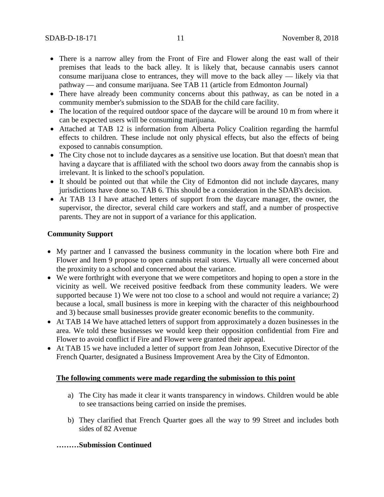- There is a narrow alley from the Front of Fire and Flower along the east wall of their premises that leads to the back alley. It is likely that, because cannabis users cannot consume marijuana close to entrances, they will move to the back alley — likely via that pathway — and consume marijuana. See TAB 11 (article from Edmonton Journal)
- There have already been community concerns about this pathway, as can be noted in a community member's submission to the SDAB for the child care facility.
- The location of the required outdoor space of the daycare will be around 10 m from where it can be expected users will be consuming marijuana.
- Attached at TAB 12 is information from Alberta Policy Coalition regarding the harmful effects to children. These include not only physical effects, but also the effects of being exposed to cannabis consumption.
- The City chose not to include daycares as a sensitive use location. But that doesn't mean that having a daycare that is affiliated with the school two doors away from the cannabis shop is irrelevant. It is linked to the school's population.
- It should be pointed out that while the City of Edmonton did not include daycares, many jurisdictions have done so. TAB 6. This should be a consideration in the SDAB's decision.
- At TAB 13 I have attached letters of support from the daycare manager, the owner, the supervisor, the director, several child care workers and staff, and a number of prospective parents. They are not in support of a variance for this application.

### **Community Support**

- My partner and I canvassed the business community in the location where both Fire and Flower and Item 9 propose to open cannabis retail stores. Virtually all were concerned about the proximity to a school and concerned about the variance.
- We were forthright with everyone that we were competitors and hoping to open a store in the vicinity as well. We received positive feedback from these community leaders. We were supported because 1) We were not too close to a school and would not require a variance; 2) because a local, small business is more in keeping with the character of this neighbourhood and 3) because small businesses provide greater economic benefits to the community.
- At TAB 14 We have attached letters of support from approximately a dozen businesses in the area. We told these businesses we would keep their opposition confidential from Fire and Flower to avoid conflict if Fire and Flower were granted their appeal.
- At TAB 15 we have included a letter of support from Jean Johnson, Executive Director of the French Quarter, designated a Business Improvement Area by the City of Edmonton.

### **The following comments were made regarding the submission to this point**

- a) The City has made it clear it wants transparency in windows. Children would be able to see transactions being carried on inside the premises.
- b) They clarified that French Quarter goes all the way to 99 Street and includes both sides of 82 Avenue

### **………Submission Continued**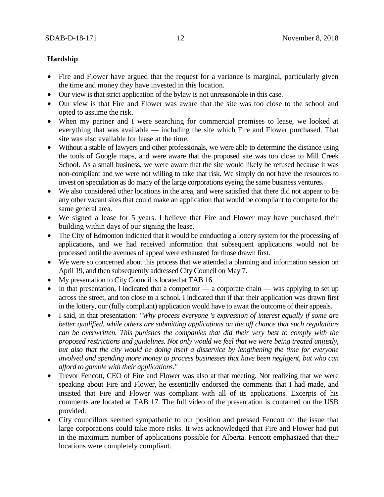# **Hardship**

- Fire and Flower have argued that the request for a variance is marginal, particularly given the time and money they have invested in this location.
- Our view is that strict application of the bylaw is not unreasonable in this case.
- Our view is that Fire and Flower was aware that the site was too close to the school and opted to assume the risk.
- When my partner and I were searching for commercial premises to lease, we looked at everything that was available — including the site which Fire and Flower purchased. That site was also available for lease at the time.
- Without a stable of lawyers and other professionals, we were able to determine the distance using the tools of Google maps, and were aware that the proposed site was too close to Mill Creek School. As a small business, we were aware that the site would likely be refused because it was non-compliant and we were not willing to take that risk. We simply do not have the resources to invest on speculation as do many of the large corporations eyeing the same business ventures.
- We also considered other locations in the area, and were satisfied that there did not appear to be any other vacant sites that could make an application that would be compliant to compete for the same general area.
- We signed a lease for 5 years. I believe that Fire and Flower may have purchased their building within days of our signing the lease.
- The City of Edmonton indicated that it would be conducting a lottery system for the processing of applications, and we had received information that subsequent applications would not be processed until the avenues of appeal were exhausted for those drawn first.
- We were so concerned about this process that we attended a planning and information session on April 19, and then subsequently addressed City Council on May 7.
- My presentation to City Council is located at TAB 16.
- In that presentation, I indicated that a competitor a corporate chain was applying to set up across the street, and too close to a school. I indicated that if that their application was drawn first in the lottery, our (fully compliant) application would have to await the outcome of their appeals.
- I said, in that presentation: *"Why process everyone 's expression of interest equally if some are better qualified, while others are submitting applications on the off chance that such regulations can be overwritten. This punishes the companies that did their very best to comply with the proposed restrictions and guidelines. Not only would we feel that we were being treated unjustly, but also that the city would be doing itself a disservice by lengthening the time for everyone involved and spending more money to process businesses that have been negligent, but who can afford to gamble with their applications."*
- Trevor Fencott, CEO of Fire and Flower was also at that meeting. Not realizing that we were speaking about Fire and Flower, he essentially endorsed the comments that I had made, and insisted that Fire and Flower was compliant with all of its applications. Excerpts of his comments are located at TAB 17. The full video of the presentation is contained on the USB provided.
- City councillors seemed sympathetic to our position and pressed Fencott on the issue that large corporations could take more risks. It was acknowledged that Fire and Flower had put in the maximum number of applications possible for Alberta. Fencott emphasized that their locations were completely compliant.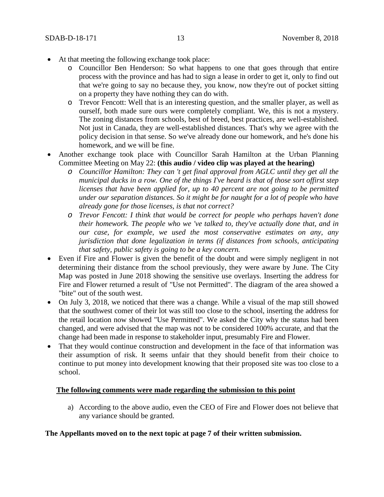- At that meeting the following exchange took place:
	- o Councillor Ben Henderson: So what happens to one that goes through that entire process with the province and has had to sign a lease in order to get it, only to find out that we're going to say no because they, you know, now they're out of pocket sitting on a property they have nothing they can do with.
	- o Trevor Fencott: Well that is an interesting question, and the smaller player, as well as ourself, both made sure ours were completely compliant. We, this is not a mystery. The zoning distances from schools, best of breed, best practices, are well-established. Not just in Canada, they are well-established distances. That's why we agree with the policy decision in that sense. So we've already done our homework, and he's done his homework, and we will be fine.
- Another exchange took place with Councillor Sarah Hamilton at the Urban Planning Committee Meeting on May 22: **(this audio / video clip was played at the hearing)**
	- *o Councillor Hamilton: They can 't get final approval from AGLC until they get all the municipal ducks in a row. One of the things I've heard is that of those sort offirst step licenses that have been applied for, up to 40 percent are not going to be permitted under our separation distances. So it might be for naught for a lot of people who have already gone for those licenses, is that not correct?*
	- *o Trevor Fencott: I think that would be correct for people who perhaps haven't done their homework. The people who we 've talked to, they've actually done that, and in our case, for example, we used the most conservative estimates on any, any jurisdiction that done legalization in terms (if distances from schools, anticipating that safety, public safety is going to be a key concern.*
- Even if Fire and Flower is given the benefit of the doubt and were simply negligent in not determining their distance from the school previously, they were aware by June. The City Map was posted in June 2018 showing the sensitive use overlays. Inserting the address for Fire and Flower returned a result of "Use not Permitted". The diagram of the area showed a "bite" out of the south west.
- On July 3, 2018, we noticed that there was a change. While a visual of the map still showed that the southwest comer of their lot was still too close to the school, inserting the address for the retail location now showed "Use Permitted". We asked the City why the status had been changed, and were advised that the map was not to be considered 100% accurate, and that the change had been made in response to stakeholder input, presumably Fire and Flower.
- That they would continue construction and development in the face of that information was their assumption of risk. It seems unfair that they should benefit from their choice to continue to put money into development knowing that their proposed site was too close to a school.

# **The following comments were made regarding the submission to this point**

a) According to the above audio, even the CEO of Fire and Flower does not believe that any variance should be granted.

## **The Appellants moved on to the next topic at page 7 of their written submission.**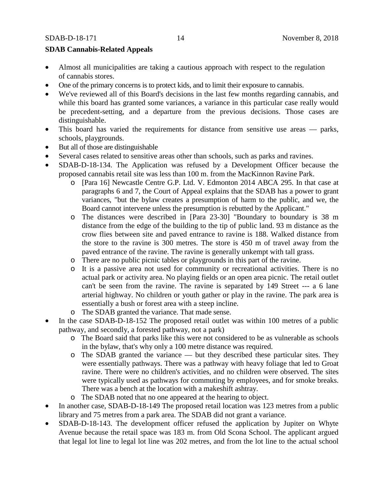## **SDAB Cannabis-Related Appeals**

- Almost all municipalities are taking a cautious approach with respect to the regulation of cannabis stores.
- One of the primary concerns is to protect kids, and to limit their exposure to cannabis.
- We've reviewed all of this Board's decisions in the last few months regarding cannabis, and while this board has granted some variances, a variance in this particular case really would be precedent-setting, and a departure from the previous decisions. Those cases are distinguishable.
- This board has varied the requirements for distance from sensitive use areas parks, schools, playgrounds.
- But all of those are distinguishable
- Several cases related to sensitive areas other than schools, such as parks and ravines.
- SDAB-D-18-134. The Application was refused by a Development Officer because the proposed cannabis retail site was less than 100 m. from the MacKinnon Ravine Park.
	- o [Para 16] Newcastle Centre G.P. Ltd. V. Edmonton 2014 ABCA 295. In that case at paragraphs 6 and 7, the Court of Appeal explains that the SDAB has a power to grant variances, "but the bylaw creates a presumption of harm to the public, and we, the Board cannot intervene unless the presumption is rebutted by the Applicant."
	- o The distances were described in [Para 23-30] "Boundary to boundary is 38 m distance from the edge of the building to the tip of public land. 93 m distance as the crow flies between site and paved entrance to ravine is 188. Walked distance from the store to the ravine is 300 metres. The store is 450 m of travel away from the paved entrance of the ravine. The ravine is generally unkempt with tall grass.
	- o There are no public picnic tables or playgrounds in this part of the ravine.
	- o It is a passive area not used for community or recreational activities. There is no actual park or activity area. No playing fields or an open area picnic. The retail outlet can't be seen from the ravine. The ravine is separated by 149 Street --- a 6 lane arterial highway. No children or youth gather or play in the ravine. The park area is essentially a bush or forest area with a steep incline.
	- o The SDAB granted the variance. That made sense.
- In the case SDAB-D-18-152 The proposed retail outlet was within 100 metres of a public pathway, and secondly, a forested pathway, not a park)
	- o The Board said that parks like this were not considered to be as vulnerable as schools in the bylaw, that's why only a 100 metre distance was required.
	- o The SDAB granted the variance but they described these particular sites. They were essentially pathways. There was a pathway with heavy foliage that led to Groat ravine. There were no children's activities, and no children were observed. The sites were typically used as pathways for commuting by employees, and for smoke breaks. There was a bench at the location with a makeshift ashtray.
	- o The SDAB noted that no one appeared at the hearing to object.
- In another case, SDAB-D-18-149 The proposed retail location was 123 metres from a public library and 75 metres from a park area. The SDAB did not grant a variance.
- SDAB-D-18-143. The development officer refused the application by Jupiter on Whyte Avenue because the retail space was 183 m. from Old Scona School. The applicant argued that legal lot line to legal lot line was 202 metres, and from the lot line to the actual school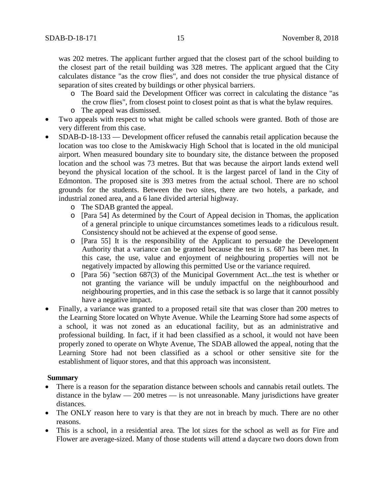was 202 metres. The applicant further argued that the closest part of the school building to the closest part of the retail building was 328 metres. The applicant argued that the City calculates distance "as the crow flies", and does not consider the true physical distance of separation of sites created by buildings or other physical barriers.

- o The Board said the Development Officer was correct in calculating the distance "as the crow flies", from closest point to closest point as that is what the bylaw requires.
- o The appeal was dismissed.
- Two appeals with respect to what might be called schools were granted. Both of those are very different from this case.
- SDAB-D-18-133 Development officer refused the cannabis retail application because the location was too close to the Amiskwaciy High School that is located in the old municipal airport. When measured boundary site to boundary site, the distance between the proposed location and the school was 73 metres. But that was because the airport lands extend well beyond the physical location of the school. It is the largest parcel of land in the City of Edmonton. The proposed site is 393 metres from the actual school. There are no school grounds for the students. Between the two sites, there are two hotels, a parkade, and industrial zoned area, and a 6 lane divided arterial highway.
	- o The SDAB granted the appeal.
	- o [Para 54] As determined by the Court of Appeal decision in Thomas, the application of a general principle to unique circumstances sometimes leads to a ridiculous result. Consistency should not be achieved at the expense of good sense.
	- o [Para 55] It is the responsibility of the Applicant to persuade the Development Authority that a variance can be granted because the test in s. 687 has been met. In this case, the use, value and enjoyment of neighbouring properties will not be negatively impacted by allowing this permitted Use or the variance required.
	- o [Para 56) "section 687(3) of the Municipal Government Act...the test is whether or not granting the variance will be unduly impactful on the neighbourhood and neighbouring properties, and in this case the setback is so large that it cannot possibly have a negative impact.
- Finally, a variance was granted to a proposed retail site that was closer than 200 metres to the Learning Store located on Whyte Avenue. While the Learning Store had some aspects of a school, it was not zoned as an educational facility, but as an administrative and professional building. In fact, if it had been classified as a school, it would not have been properly zoned to operate on Whyte Avenue, The SDAB allowed the appeal, noting that the Learning Store had not been classified as a school or other sensitive site for the establishment of liquor stores, and that this approach was inconsistent.

## **Summary**

- There is a reason for the separation distance between schools and cannabis retail outlets. The distance in the bylaw — 200 metres — is not unreasonable. Many jurisdictions have greater distances.
- The ONLY reason here to vary is that they are not in breach by much. There are no other reasons.
- This is a school, in a residential area. The lot sizes for the school as well as for Fire and Flower are average-sized. Many of those students will attend a daycare two doors down from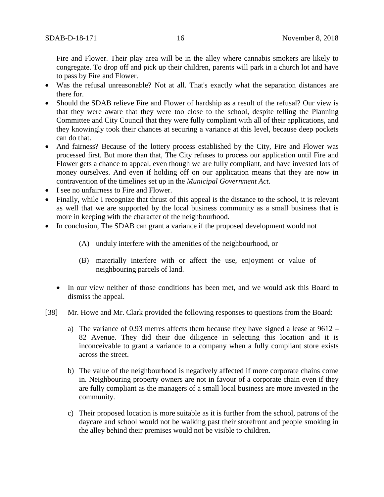Fire and Flower. Their play area will be in the alley where cannabis smokers are likely to congregate. To drop off and pick up their children, parents will park in a church lot and have to pass by Fire and Flower.

- Was the refusal unreasonable? Not at all. That's exactly what the separation distances are there for.
- Should the SDAB relieve Fire and Flower of hardship as a result of the refusal? Our view is that they were aware that they were too close to the school, despite telling the Planning Committee and City Council that they were fully compliant with all of their applications, and they knowingly took their chances at securing a variance at this level, because deep pockets can do that.
- And fairness? Because of the lottery process established by the City, Fire and Flower was processed first. But more than that, The City refuses to process our application until Fire and Flower gets a chance to appeal, even though we are fully compliant, and have invested lots of money ourselves. And even if holding off on our application means that they are now in contravention of the timelines set up in the *Municipal Government Act*.
- I see no unfairness to Fire and Flower.
- Finally, while I recognize that thrust of this appeal is the distance to the school, it is relevant as well that we are supported by the local business community as a small business that is more in keeping with the character of the neighbourhood.
- In conclusion, The SDAB can grant a variance if the proposed development would not
	- (A) unduly interfere with the amenities of the neighbourhood, or
	- (B) materially interfere with or affect the use, enjoyment or value of neighbouring parcels of land.
	- In our view neither of those conditions has been met, and we would ask this Board to dismiss the appeal.
- [38] Mr. Howe and Mr. Clark provided the following responses to questions from the Board:
	- a) The variance of 0.93 metres affects them because they have signed a lease at 9612 82 Avenue. They did their due diligence in selecting this location and it is inconceivable to grant a variance to a company when a fully compliant store exists across the street.
	- b) The value of the neighbourhood is negatively affected if more corporate chains come in. Neighbouring property owners are not in favour of a corporate chain even if they are fully compliant as the managers of a small local business are more invested in the community.
	- c) Their proposed location is more suitable as it is further from the school, patrons of the daycare and school would not be walking past their storefront and people smoking in the alley behind their premises would not be visible to children.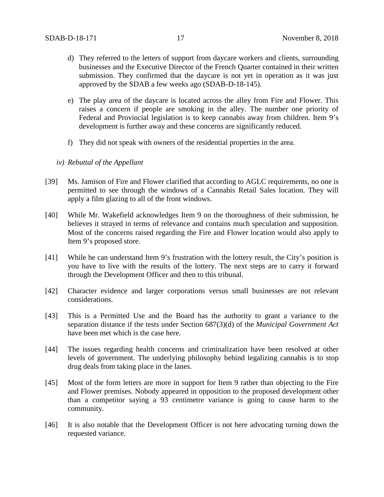- d) They referred to the letters of support from daycare workers and clients, surrounding businesses and the Executive Director of the French Quarter contained in their written submission. They confirmed that the daycare is not yet in operation as it was just approved by the SDAB a few weeks ago (SDAB-D-18-145).
- e) The play area of the daycare is located across the alley from Fire and Flower. This raises a concern if people are smoking in the alley. The number one priority of Federal and Provincial legislation is to keep cannabis away from children. Item 9's development is further away and these concerns are significantly reduced.
- f) They did not speak with owners of the residential properties in the area.
- *iv) Rebuttal of the Appellant*
- [39] Ms. Jamison of Fire and Flower clarified that according to AGLC requirements, no one is permitted to see through the windows of a Cannabis Retail Sales location. They will apply a film glazing to all of the front windows.
- [40] While Mr. Wakefield acknowledges Item 9 on the thoroughness of their submission, he believes it strayed in terms of relevance and contains much speculation and supposition. Most of the concerns raised regarding the Fire and Flower location would also apply to Item 9's proposed store.
- [41] While he can understand Item 9's frustration with the lottery result, the City's position is you have to live with the results of the lottery. The next steps are to carry it forward through the Development Officer and then to this tribunal.
- [42] Character evidence and larger corporations versus small businesses are not relevant considerations.
- [43] This is a Permitted Use and the Board has the authority to grant a variance to the separation distance if the tests under Section 687(3)(d) of the *Municipal Government Act* have been met which is the case here.
- [44] The issues regarding health concerns and criminalization have been resolved at other levels of government. The underlying philosophy behind legalizing cannabis is to stop drug deals from taking place in the lanes.
- [45] Most of the form letters are more in support for Item 9 rather than objecting to the Fire and Flower premises. Nobody appeared in opposition to the proposed development other than a competitor saying a 93 centimetre variance is going to cause harm to the community.
- [46] It is also notable that the Development Officer is not here advocating turning down the requested variance.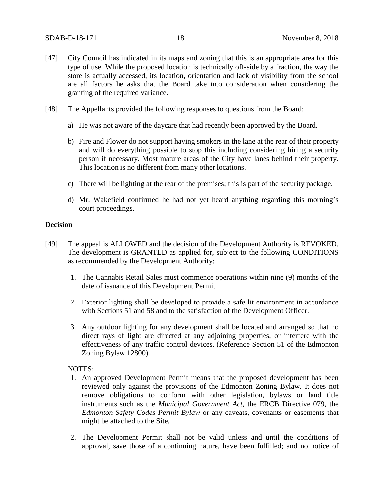- [47] City Council has indicated in its maps and zoning that this is an appropriate area for this type of use. While the proposed location is technically off-side by a fraction, the way the store is actually accessed, its location, orientation and lack of visibility from the school are all factors he asks that the Board take into consideration when considering the granting of the required variance.
- [48] The Appellants provided the following responses to questions from the Board:
	- a) He was not aware of the daycare that had recently been approved by the Board.
	- b) Fire and Flower do not support having smokers in the lane at the rear of their property and will do everything possible to stop this including considering hiring a security person if necessary. Most mature areas of the City have lanes behind their property. This location is no different from many other locations.
	- c) There will be lighting at the rear of the premises; this is part of the security package.
	- d) Mr. Wakefield confirmed he had not yet heard anything regarding this morning's court proceedings.

### **Decision**

- [49] The appeal is ALLOWED and the decision of the Development Authority is REVOKED. The development is GRANTED as applied for, subject to the following CONDITIONS as recommended by the Development Authority:
	- 1. The Cannabis Retail Sales must commence operations within nine (9) months of the date of issuance of this Development Permit.
	- 2. Exterior lighting shall be developed to provide a safe lit environment in accordance with Sections 51 and 58 and to the satisfaction of the Development Officer.
	- 3. Any outdoor lighting for any development shall be located and arranged so that no direct rays of light are directed at any adjoining properties, or interfere with the effectiveness of any traffic control devices. (Reference Section 51 of the Edmonton Zoning Bylaw 12800).

#### NOTES:

- 1. An approved Development Permit means that the proposed development has been reviewed only against the provisions of the Edmonton Zoning Bylaw. It does not remove obligations to conform with other legislation, bylaws or land title instruments such as the *Municipal Government Act*, the ERCB Directive 079, the *Edmonton Safety Codes Permit Bylaw* or any caveats, covenants or easements that might be attached to the Site.
- 2. The Development Permit shall not be valid unless and until the conditions of approval, save those of a continuing nature, have been fulfilled; and no notice of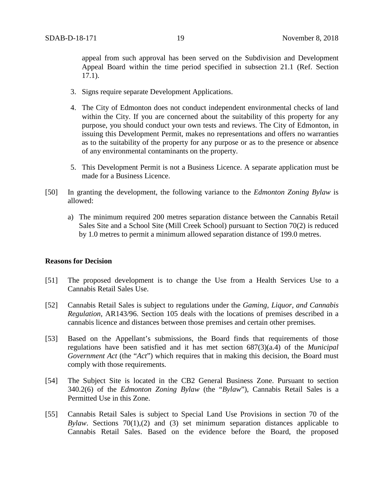appeal from such approval has been served on the Subdivision and Development Appeal Board within the time period specified in subsection 21.1 (Ref. Section 17.1).

- 3. Signs require separate Development Applications.
- 4. The City of Edmonton does not conduct independent environmental checks of land within the City. If you are concerned about the suitability of this property for any purpose, you should conduct your own tests and reviews. The City of Edmonton, in issuing this Development Permit, makes no representations and offers no warranties as to the suitability of the property for any purpose or as to the presence or absence of any environmental contaminants on the property.
- 5. This Development Permit is not a Business Licence. A separate application must be made for a Business Licence.
- [50] In granting the development, the following variance to the *Edmonton Zoning Bylaw* is allowed:
	- a) The minimum required 200 metres separation distance between the Cannabis Retail Sales Site and a School Site (Mill Creek School) pursuant to Section 70(2) is reduced by 1.0 metres to permit a minimum allowed separation distance of 199.0 metres.

#### **Reasons for Decision**

- [51] The proposed development is to change the Use from a Health Services Use to a Cannabis Retail Sales Use.
- [52] Cannabis Retail Sales is subject to regulations under the *Gaming, Liquor, and Cannabis Regulation*, AR143/96. Section 105 deals with the locations of premises described in a cannabis licence and distances between those premises and certain other premises.
- [53] Based on the Appellant's submissions, the Board finds that requirements of those regulations have been satisfied and it has met section 687(3)(a.4) of the *Municipal Government Act* (the "*Act*") which requires that in making this decision, the Board must comply with those requirements*.*
- [54] The Subject Site is located in the CB2 General Business Zone. Pursuant to section 340.2(6) of the *Edmonton Zoning Bylaw* (the "*Bylaw*"), Cannabis Retail Sales is a Permitted Use in this Zone.
- [55] Cannabis Retail Sales is subject to Special Land Use Provisions in section 70 of the *Bylaw*. Sections 70(1),(2) and (3) set minimum separation distances applicable to Cannabis Retail Sales. Based on the evidence before the Board, the proposed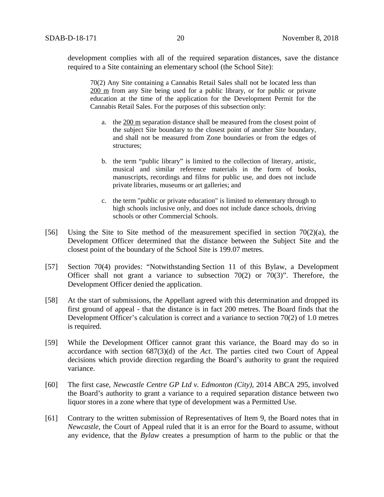development complies with all of the required separation distances, save the distance required to a Site containing an elementary school (the School Site):

70(2) Any Site containing a Cannabis Retail Sales shall not be located less than [200 m](javascript:void(0);) from any Site being used for a public library, or for public or private education at the time of the application for the Development Permit for the Cannabis Retail Sales. For the purposes of this subsection only:

- a. the [200 m](javascript:void(0);) separation distance shall be measured from the closest point of the subject Site boundary to the closest point of another Site boundary, and shall not be measured from Zone boundaries or from the edges of structures;
- b. the term "public library" is limited to the collection of literary, artistic, musical and similar reference materials in the form of books, manuscripts, recordings and films for public use, and does not include private libraries, museums or art galleries; and
- c. the term "public or private education" is limited to elementary through to high schools inclusive only, and does not include dance schools, driving schools or other Commercial Schools.
- [56] Using the Site to Site method of the measurement specified in section  $70(2)(a)$ , the Development Officer determined that the distance between the Subject Site and the closest point of the boundary of the School Site is 199.07 metres.
- [57] Section 70(4) provides: "Notwithstanding Section 11 of this Bylaw, a Development Officer shall not grant a variance to subsection  $70(2)$  or  $70(3)$ ". Therefore, the Development Officer denied the application.
- [58] At the start of submissions, the Appellant agreed with this determination and dropped its first ground of appeal - that the distance is in fact 200 metres. The Board finds that the Development Officer's calculation is correct and a variance to section 70(2) of 1.0 metres is required.
- [59] While the Development Officer cannot grant this variance, the Board may do so in accordance with section 687(3)(d) of the *Act*. The parties cited two Court of Appeal decisions which provide direction regarding the Board's authority to grant the required variance.
- [60] The first case, *Newcastle Centre GP Ltd v. Edmonton (City),* 2014 ABCA 295, involved the Board's authority to grant a variance to a required separation distance between two liquor stores in a zone where that type of development was a Permitted Use.
- [61] Contrary to the written submission of Representatives of Item 9, the Board notes that in *Newcastle*, the Court of Appeal ruled that it is an error for the Board to assume, without any evidence, that the *Bylaw* creates a presumption of harm to the public or that the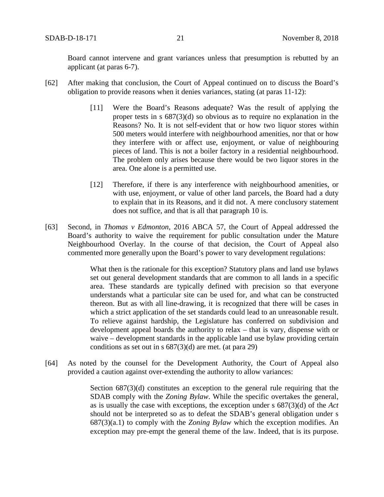Board cannot intervene and grant variances unless that presumption is rebutted by an applicant (at paras 6-7).

- [62] After making that conclusion, the Court of Appeal continued on to discuss the Board's obligation to provide reasons when it denies variances, stating (at paras 11-12):
	- [11] Were the Board's Reasons adequate? Was the result of applying the proper tests in s 687(3)(d) so obvious as to require no explanation in the Reasons? No. It is not self-evident that or how two liquor stores within 500 meters would interfere with neighbourhood amenities, nor that or how they interfere with or affect use, enjoyment, or value of neighbouring pieces of land. This is not a boiler factory in a residential neighbourhood. The problem only arises because there would be two liquor stores in the area. One alone is a permitted use.
	- [12] Therefore, if there is any interference with neighbourhood amenities, or with use, enjoyment, or value of other land parcels, the Board had a duty to explain that in its Reasons, and it did not. A mere conclusory statement does not suffice, and that is all that paragraph 10 is.
- [63] Second, in *Thomas v Edmonton*, 2016 ABCA 57, the Court of Appeal addressed the Board's authority to waive the requirement for public consultation under the Mature Neighbourhood Overlay. In the course of that decision, the Court of Appeal also commented more generally upon the Board's power to vary development regulations:

What then is the rationale for this exception? Statutory plans and land use bylaws set out general development standards that are common to all lands in a specific area. These standards are typically defined with precision so that everyone understands what a particular site can be used for, and what can be constructed thereon. But as with all line-drawing, it is recognized that there will be cases in which a strict application of the set standards could lead to an unreasonable result. To relieve against hardship, the Legislature has conferred on subdivision and development appeal boards the authority to relax – that is vary, dispense with or waive – development standards in the applicable land use bylaw providing certain conditions as set out in s 687(3)(d) are met. (at para 29)

[64] As noted by the counsel for the Development Authority, the Court of Appeal also provided a caution against over-extending the authority to allow variances:

> Section  $687(3)(d)$  constitutes an exception to the general rule requiring that the SDAB comply with the *Zoning Bylaw*. While the specific overtakes the general, as is usually the case with exceptions, the exception under s 687(3)(d) of the *Act* should not be interpreted so as to defeat the SDAB's general obligation under s 687(3)(a.1) to comply with the *Zoning Bylaw* which the exception modifies. An exception may pre-empt the general theme of the law. Indeed, that is its purpose.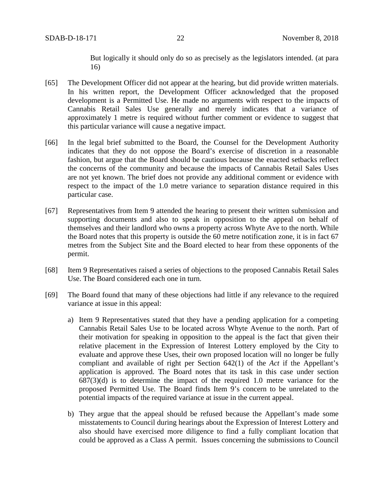But logically it should only do so as precisely as the legislators intended. (at para 16)

- [65] The Development Officer did not appear at the hearing, but did provide written materials. In his written report, the Development Officer acknowledged that the proposed development is a Permitted Use. He made no arguments with respect to the impacts of Cannabis Retail Sales Use generally and merely indicates that a variance of approximately 1 metre is required without further comment or evidence to suggest that this particular variance will cause a negative impact.
- [66] In the legal brief submitted to the Board, the Counsel for the Development Authority indicates that they do not oppose the Board's exercise of discretion in a reasonable fashion, but argue that the Board should be cautious because the enacted setbacks reflect the concerns of the community and because the impacts of Cannabis Retail Sales Uses are not yet known. The brief does not provide any additional comment or evidence with respect to the impact of the 1.0 metre variance to separation distance required in this particular case.
- [67] Representatives from Item 9 attended the hearing to present their written submission and supporting documents and also to speak in opposition to the appeal on behalf of themselves and their landlord who owns a property across Whyte Ave to the north. While the Board notes that this property is outside the 60 metre notification zone, it is in fact 67 metres from the Subject Site and the Board elected to hear from these opponents of the permit.
- [68] Item 9 Representatives raised a series of objections to the proposed Cannabis Retail Sales Use. The Board considered each one in turn.
- [69] The Board found that many of these objections had little if any relevance to the required variance at issue in this appeal:
	- a) Item 9 Representatives stated that they have a pending application for a competing Cannabis Retail Sales Use to be located across Whyte Avenue to the north. Part of their motivation for speaking in opposition to the appeal is the fact that given their relative placement in the Expression of Interest Lottery employed by the City to evaluate and approve these Uses, their own proposed location will no longer be fully compliant and available of right per Section 642(1) of the *Act* if the Appellant's application is approved. The Board notes that its task in this case under section  $687(3)(d)$  is to determine the impact of the required 1.0 metre variance for the proposed Permitted Use. The Board finds Item 9's concern to be unrelated to the potential impacts of the required variance at issue in the current appeal.
	- b) They argue that the appeal should be refused because the Appellant's made some misstatements to Council during hearings about the Expression of Interest Lottery and also should have exercised more diligence to find a fully compliant location that could be approved as a Class A permit. Issues concerning the submissions to Council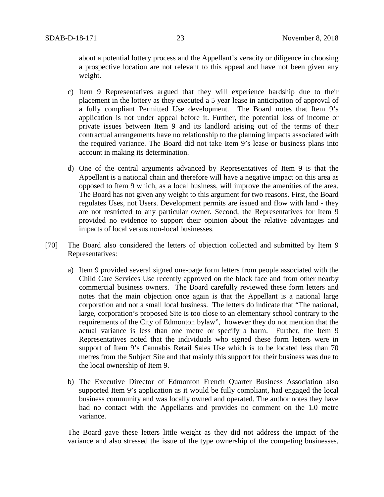about a potential lottery process and the Appellant's veracity or diligence in choosing a prospective location are not relevant to this appeal and have not been given any weight.

- c) Item 9 Representatives argued that they will experience hardship due to their placement in the lottery as they executed a 5 year lease in anticipation of approval of a fully compliant Permitted Use development. The Board notes that Item 9's application is not under appeal before it. Further, the potential loss of income or private issues between Item 9 and its landlord arising out of the terms of their contractual arrangements have no relationship to the planning impacts associated with the required variance. The Board did not take Item 9's lease or business plans into account in making its determination.
- d) One of the central arguments advanced by Representatives of Item 9 is that the Appellant is a national chain and therefore will have a negative impact on this area as opposed to Item 9 which, as a local business, will improve the amenities of the area. The Board has not given any weight to this argument for two reasons. First, the Board regulates Uses, not Users. Development permits are issued and flow with land - they are not restricted to any particular owner. Second, the Representatives for Item 9 provided no evidence to support their opinion about the relative advantages and impacts of local versus non-local businesses.
- [70] The Board also considered the letters of objection collected and submitted by Item 9 Representatives:
	- a) Item 9 provided several signed one-page form letters from people associated with the Child Care Services Use recently approved on the block face and from other nearby commercial business owners. The Board carefully reviewed these form letters and notes that the main objection once again is that the Appellant is a national large corporation and not a small local business. The letters do indicate that "The national, large, corporation's proposed Site is too close to an elementary school contrary to the requirements of the City of Edmonton bylaw", however they do not mention that the actual variance is less than one metre or specify a harm. Further, the Item 9 Representatives noted that the individuals who signed these form letters were in support of Item 9's Cannabis Retail Sales Use which is to be located less than 70 metres from the Subject Site and that mainly this support for their business was due to the local ownership of Item 9.
	- b) The Executive Director of Edmonton French Quarter Business Association also supported Item 9's application as it would be fully compliant, had engaged the local business community and was locally owned and operated. The author notes they have had no contact with the Appellants and provides no comment on the 1.0 metre variance.

The Board gave these letters little weight as they did not address the impact of the variance and also stressed the issue of the type ownership of the competing businesses,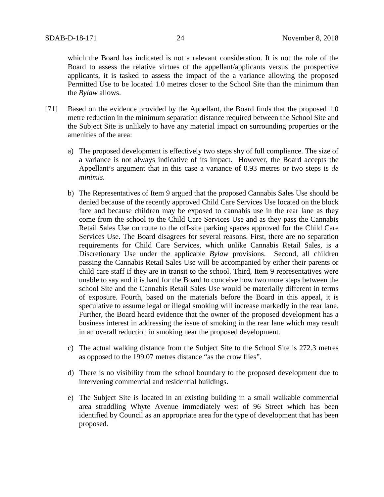which the Board has indicated is not a relevant consideration. It is not the role of the Board to assess the relative virtues of the appellant/applicants versus the prospective applicants, it is tasked to assess the impact of the a variance allowing the proposed Permitted Use to be located 1.0 metres closer to the School Site than the minimum than the *Bylaw* allows.

- [71] Based on the evidence provided by the Appellant, the Board finds that the proposed 1.0 metre reduction in the minimum separation distance required between the School Site and the Subject Site is unlikely to have any material impact on surrounding properties or the amenities of the area:
	- a) The proposed development is effectively two steps shy of full compliance. The size of a variance is not always indicative of its impact. However, the Board accepts the Appellant's argument that in this case a variance of 0.93 metres or two steps is *de minimis*.
	- b) The Representatives of Item 9 argued that the proposed Cannabis Sales Use should be denied because of the recently approved Child Care Services Use located on the block face and because children may be exposed to cannabis use in the rear lane as they come from the school to the Child Care Services Use and as they pass the Cannabis Retail Sales Use on route to the off-site parking spaces approved for the Child Care Services Use. The Board disagrees for several reasons. First, there are no separation requirements for Child Care Services, which unlike Cannabis Retail Sales, is a Discretionary Use under the applicable *Bylaw* provisions. Second, all children passing the Cannabis Retail Sales Use will be accompanied by either their parents or child care staff if they are in transit to the school. Third, Item 9 representatives were unable to say and it is hard for the Board to conceive how two more steps between the school Site and the Cannabis Retail Sales Use would be materially different in terms of exposure. Fourth, based on the materials before the Board in this appeal, it is speculative to assume legal or illegal smoking will increase markedly in the rear lane. Further, the Board heard evidence that the owner of the proposed development has a business interest in addressing the issue of smoking in the rear lane which may result in an overall reduction in smoking near the proposed development.
	- c) The actual walking distance from the Subject Site to the School Site is 272.3 metres as opposed to the 199.07 metres distance "as the crow flies".
	- d) There is no visibility from the school boundary to the proposed development due to intervening commercial and residential buildings.
	- e) The Subject Site is located in an existing building in a small walkable commercial area straddling Whyte Avenue immediately west of 96 Street which has been identified by Council as an appropriate area for the type of development that has been proposed.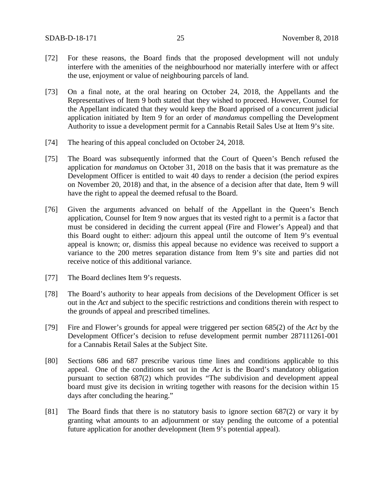- [72] For these reasons, the Board finds that the proposed development will not unduly interfere with the amenities of the neighbourhood nor materially interfere with or affect the use, enjoyment or value of neighbouring parcels of land.
- [73] On a final note, at the oral hearing on October 24, 2018, the Appellants and the Representatives of Item 9 both stated that they wished to proceed. However, Counsel for the Appellant indicated that they would keep the Board apprised of a concurrent judicial application initiated by Item 9 for an order of *mandamus* compelling the Development Authority to issue a development permit for a Cannabis Retail Sales Use at Item 9's site.
- [74] The hearing of this appeal concluded on October 24, 2018.
- [75] The Board was subsequently informed that the Court of Queen's Bench refused the application for *mandamus* on October 31, 2018 on the basis that it was premature as the Development Officer is entitled to wait 40 days to render a decision (the period expires on November 20, 2018) and that, in the absence of a decision after that date, Item 9 will have the right to appeal the deemed refusal to the Board.
- [76] Given the arguments advanced on behalf of the Appellant in the Queen's Bench application, Counsel for Item 9 now argues that its vested right to a permit is a factor that must be considered in deciding the current appeal (Fire and Flower's Appeal) and that this Board ought to either: adjourn this appeal until the outcome of Item 9's eventual appeal is known; or, dismiss this appeal because no evidence was received to support a variance to the 200 metres separation distance from Item 9's site and parties did not receive notice of this additional variance.
- [77] The Board declines Item 9's requests.
- [78] The Board's authority to hear appeals from decisions of the Development Officer is set out in the *Act* and subject to the specific restrictions and conditions therein with respect to the grounds of appeal and prescribed timelines.
- [79] Fire and Flower's grounds for appeal were triggered per section 685(2) of the *Act* by the Development Officer's decision to refuse development permit number 287111261-001 for a Cannabis Retail Sales at the Subject Site.
- [80] Sections 686 and 687 prescribe various time lines and conditions applicable to this appeal. One of the conditions set out in the *Act* is the Board's mandatory obligation pursuant to section 687(2) which provides "The subdivision and development appeal board must give its decision in writing together with reasons for the decision within 15 days after concluding the hearing."
- [81] The Board finds that there is no statutory basis to ignore section 687(2) or vary it by granting what amounts to an adjournment or stay pending the outcome of a potential future application for another development (Item 9's potential appeal).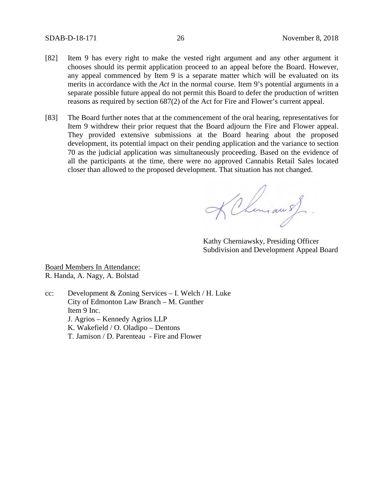- [82] Item 9 has every right to make the vested right argument and any other argument it chooses should its permit application proceed to an appeal before the Board. However, any appeal commenced by Item 9 is a separate matter which will be evaluated on its merits in accordance with the *Act* in the normal course. Item 9's potential arguments in a separate possible future appeal do not permit this Board to defer the production of written reasons as required by section 687(2) of the Act for Fire and Flower's current appeal.
- [83] The Board further notes that at the commencement of the oral hearing, representatives for Item 9 withdrew their prior request that the Board adjourn the Fire and Flower appeal. They provided extensive submissions at the Board hearing about the proposed development, its potential impact on their pending application and the variance to section 70 as the judicial application was simultaneously proceeding. Based on the evidence of all the participants at the time, there were no approved Cannabis Retail Sales located closer than allowed to the proposed development. That situation has not changed.

KChimau s)

Kathy Cherniawsky, Presiding Officer Subdivision and Development Appeal Board

Board Members In Attendance: R. Handa, A. Nagy, A. Bolstad

cc: Development & Zoning Services – I. Welch / H. Luke City of Edmonton Law Branch – M. Gunther Item 9 Inc. J. Agrios – Kennedy Agrios LLP K. Wakefield / O. Oladipo – Dentons T. Jamison / D. Parenteau - Fire and Flower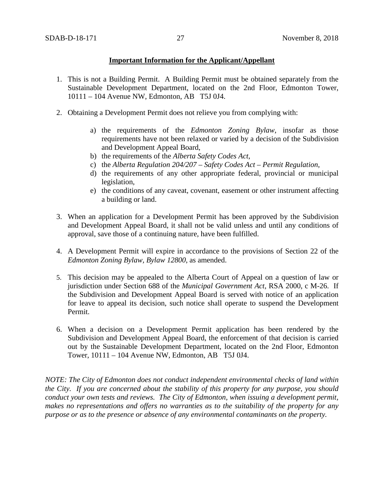## **Important Information for the Applicant/Appellant**

- 1. This is not a Building Permit. A Building Permit must be obtained separately from the Sustainable Development Department, located on the 2nd Floor, Edmonton Tower, 10111 – 104 Avenue NW, Edmonton, AB T5J 0J4.
- 2. Obtaining a Development Permit does not relieve you from complying with:
	- a) the requirements of the *Edmonton Zoning Bylaw*, insofar as those requirements have not been relaxed or varied by a decision of the Subdivision and Development Appeal Board,
	- b) the requirements of the *Alberta Safety Codes Act*,
	- c) the *Alberta Regulation 204/207 – Safety Codes Act – Permit Regulation*,
	- d) the requirements of any other appropriate federal, provincial or municipal legislation,
	- e) the conditions of any caveat, covenant, easement or other instrument affecting a building or land.
- 3. When an application for a Development Permit has been approved by the Subdivision and Development Appeal Board, it shall not be valid unless and until any conditions of approval, save those of a continuing nature, have been fulfilled.
- 4. A Development Permit will expire in accordance to the provisions of Section 22 of the *Edmonton Zoning Bylaw, Bylaw 12800*, as amended.
- 5. This decision may be appealed to the Alberta Court of Appeal on a question of law or jurisdiction under Section 688 of the *Municipal Government Act*, RSA 2000, c M-26. If the Subdivision and Development Appeal Board is served with notice of an application for leave to appeal its decision, such notice shall operate to suspend the Development Permit.
- 6. When a decision on a Development Permit application has been rendered by the Subdivision and Development Appeal Board, the enforcement of that decision is carried out by the Sustainable Development Department, located on the 2nd Floor, Edmonton Tower, 10111 – 104 Avenue NW, Edmonton, AB T5J 0J4.

*NOTE: The City of Edmonton does not conduct independent environmental checks of land within the City. If you are concerned about the stability of this property for any purpose, you should conduct your own tests and reviews. The City of Edmonton, when issuing a development permit, makes no representations and offers no warranties as to the suitability of the property for any purpose or as to the presence or absence of any environmental contaminants on the property.*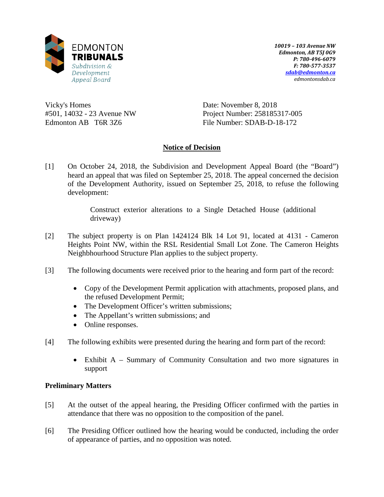

*10019 – 103 Avenue NW Edmonton, AB T5J 0G9 P: 780-496-6079 F: 780-577-3537 [sdab@edmonton.ca](mailto:sdab@edmonton.ca) edmontonsdab.ca*

Vicky's Homes #501, 14032 - 23 Avenue NW Edmonton AB T6R 3Z6

Date: November 8, 2018 Project Number: 258185317-005 File Number: SDAB-D-18-172

# **Notice of Decision**

[1] On October 24, 2018, the Subdivision and Development Appeal Board (the "Board") heard an appeal that was filed on September 25, 2018. The appeal concerned the decision of the Development Authority, issued on September 25, 2018, to refuse the following development:

> Construct exterior alterations to a Single Detached House (additional driveway)

- [2] The subject property is on Plan 1424124 Blk 14 Lot 91, located at 4131 Cameron Heights Point NW, within the RSL Residential Small Lot Zone. The Cameron Heights Neighbhourhood Structure Plan applies to the subject property.
- [3] The following documents were received prior to the hearing and form part of the record:
	- Copy of the Development Permit application with attachments, proposed plans, and the refused Development Permit;
	- The Development Officer's written submissions;
	- The Appellant's written submissions; and
	- Online responses.
- [4] The following exhibits were presented during the hearing and form part of the record:
	- Exhibit A Summary of Community Consultation and two more signatures in support

## **Preliminary Matters**

- [5] At the outset of the appeal hearing, the Presiding Officer confirmed with the parties in attendance that there was no opposition to the composition of the panel.
- [6] The Presiding Officer outlined how the hearing would be conducted, including the order of appearance of parties, and no opposition was noted.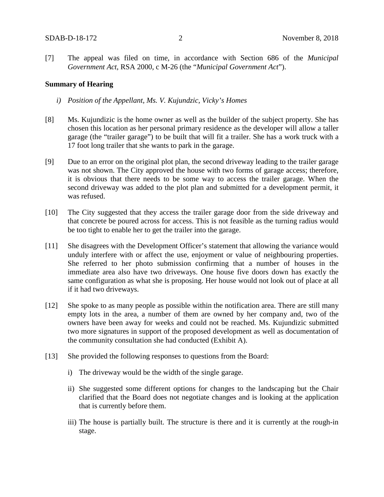[7] The appeal was filed on time, in accordance with Section 686 of the *Municipal Government Act*, RSA 2000, c M-26 (the "*Municipal Government Act*").

### **Summary of Hearing**

- *i) Position of the Appellant, Ms. V. Kujundzic, Vicky's Homes*
- [8] Ms. Kujundizic is the home owner as well as the builder of the subject property. She has chosen this location as her personal primary residence as the developer will allow a taller garage (the "trailer garage") to be built that will fit a trailer. She has a work truck with a 17 foot long trailer that she wants to park in the garage.
- [9] Due to an error on the original plot plan, the second driveway leading to the trailer garage was not shown. The City approved the house with two forms of garage access; therefore, it is obvious that there needs to be some way to access the trailer garage. When the second driveway was added to the plot plan and submitted for a development permit, it was refused.
- [10] The City suggested that they access the trailer garage door from the side driveway and that concrete be poured across for access. This is not feasible as the turning radius would be too tight to enable her to get the trailer into the garage.
- [11] She disagrees with the Development Officer's statement that allowing the variance would unduly interfere with or affect the use, enjoyment or value of neighbouring properties. She referred to her photo submission confirming that a number of houses in the immediate area also have two driveways. One house five doors down has exactly the same configuration as what she is proposing. Her house would not look out of place at all if it had two driveways.
- [12] She spoke to as many people as possible within the notification area. There are still many empty lots in the area, a number of them are owned by her company and, two of the owners have been away for weeks and could not be reached. Ms. Kujundizic submitted two more signatures in support of the proposed development as well as documentation of the community consultation she had conducted (Exhibit A).
- [13] She provided the following responses to questions from the Board:
	- i) The driveway would be the width of the single garage.
	- ii) She suggested some different options for changes to the landscaping but the Chair clarified that the Board does not negotiate changes and is looking at the application that is currently before them.
	- iii) The house is partially built. The structure is there and it is currently at the rough-in stage.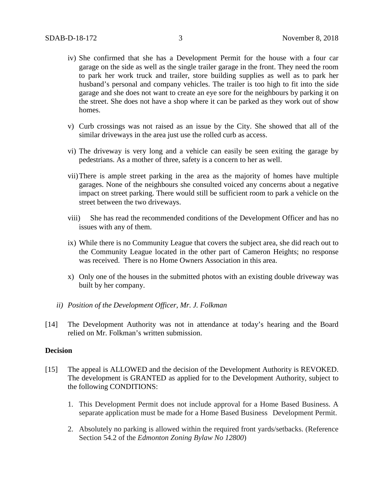- iv) She confirmed that she has a Development Permit for the house with a four car garage on the side as well as the single trailer garage in the front. They need the room to park her work truck and trailer, store building supplies as well as to park her husband's personal and company vehicles. The trailer is too high to fit into the side garage and she does not want to create an eye sore for the neighbours by parking it on the street. She does not have a shop where it can be parked as they work out of show homes.
- v) Curb crossings was not raised as an issue by the City. She showed that all of the similar driveways in the area just use the rolled curb as access.
- vi) The driveway is very long and a vehicle can easily be seen exiting the garage by pedestrians. As a mother of three, safety is a concern to her as well.
- vii)There is ample street parking in the area as the majority of homes have multiple garages. None of the neighbours she consulted voiced any concerns about a negative impact on street parking. There would still be sufficient room to park a vehicle on the street between the two driveways.
- viii) She has read the recommended conditions of the Development Officer and has no issues with any of them.
- ix) While there is no Community League that covers the subject area, she did reach out to the Community League located in the other part of Cameron Heights; no response was received. There is no Home Owners Association in this area.
- x) Only one of the houses in the submitted photos with an existing double driveway was built by her company.
- *ii) Position of the Development Officer, Mr. J. Folkman*
- [14] The Development Authority was not in attendance at today's hearing and the Board relied on Mr. Folkman's written submission.

#### **Decision**

- [15] The appeal is ALLOWED and the decision of the Development Authority is REVOKED. The development is GRANTED as applied for to the Development Authority, subject to the following CONDITIONS:
	- 1. This Development Permit does not include approval for a Home Based Business. A separate application must be made for a Home Based Business Development Permit.
	- 2. Absolutely no parking is allowed within the required front yards/setbacks. (Reference Section 54.2 of the *Edmonton Zoning Bylaw No 12800*)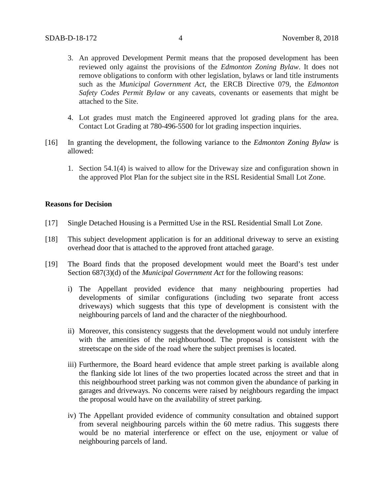- 3. An approved Development Permit means that the proposed development has been reviewed only against the provisions of the *Edmonton Zoning Bylaw*. It does not remove obligations to conform with other legislation, bylaws or land title instruments such as the *Municipal Government Act*, the ERCB Directive 079, the *Edmonton Safety Codes Permit Bylaw* or any caveats, covenants or easements that might be attached to the Site.
- 4. Lot grades must match the Engineered approved lot grading plans for the area. Contact Lot Grading at 780-496-5500 for lot grading inspection inquiries.
- [16] In granting the development, the following variance to the *Edmonton Zoning Bylaw* is allowed:
	- 1. Section 54.1(4) is waived to allow for the Driveway size and configuration shown in the approved Plot Plan for the subject site in the RSL Residential Small Lot Zone.

#### **Reasons for Decision**

- [17] Single Detached Housing is a Permitted Use in the RSL Residential Small Lot Zone.
- [18] This subject development application is for an additional driveway to serve an existing overhead door that is attached to the approved front attached garage.
- [19] The Board finds that the proposed development would meet the Board's test under Section 687(3)(d) of the *Municipal Government Act* for the following reasons:
	- i) The Appellant provided evidence that many neighbouring properties had developments of similar configurations (including two separate front access driveways) which suggests that this type of development is consistent with the neighbouring parcels of land and the character of the nieghbourhood.
	- ii) Moreover, this consistency suggests that the development would not unduly interfere with the amenities of the neighbourhood. The proposal is consistent with the streetscape on the side of the road where the subject premises is located.
	- iii) Furthermore, the Board heard evidence that ample street parking is available along the flanking side lot lines of the two properties located across the street and that in this neighbourhood street parking was not common given the abundance of parking in garages and driveways. No concerns were raised by neighbours regarding the impact the proposal would have on the availability of street parking.
	- iv) The Appellant provided evidence of community consultation and obtained support from several neighbouring parcels within the 60 metre radius. This suggests there would be no material interference or effect on the use, enjoyment or value of neighbouring parcels of land.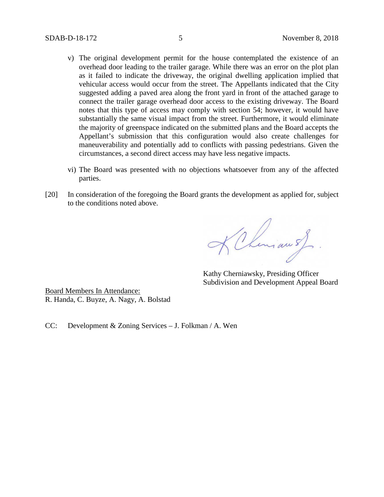- v) The original development permit for the house contemplated the existence of an overhead door leading to the trailer garage. While there was an error on the plot plan as it failed to indicate the driveway, the original dwelling application implied that vehicular access would occur from the street. The Appellants indicated that the City suggested adding a paved area along the front yard in front of the attached garage to connect the trailer garage overhead door access to the existing driveway. The Board notes that this type of access may comply with section 54; however, it would have substantially the same visual impact from the street. Furthermore, it would eliminate the majority of greenspace indicated on the submitted plans and the Board accepts the Appellant's submission that this configuration would also create challenges for maneuverability and potentially add to conflicts with passing pedestrians. Given the circumstances, a second direct access may have less negative impacts.
- vi) The Board was presented with no objections whatsoever from any of the affected parties.
- [20] In consideration of the foregoing the Board grants the development as applied for, subject to the conditions noted above.

KChiman s)

Kathy Cherniawsky, Presiding Officer Subdivision and Development Appeal Board

Board Members In Attendance: R. Handa, C. Buyze, A. Nagy, A. Bolstad

CC: Development & Zoning Services – J. Folkman / A. Wen